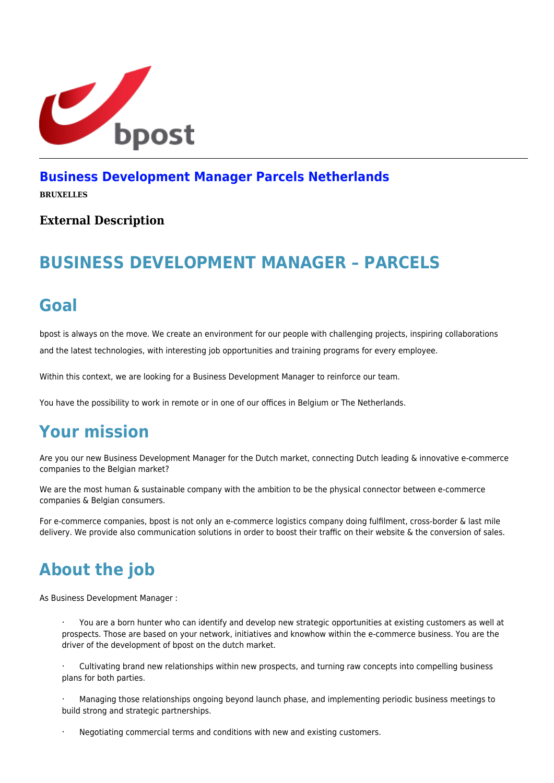

#### **[Business Development Manager Parcels Netherlands](https://career.bpost.be/nl/vacature/brussel/business-development-manager-parcels-netherlands/req6035)**

**BRUXELLES**

#### **External Description**

# **BUSINESS DEVELOPMENT MANAGER – PARCELS**

#### **Goal**

bpost is always on the move. We create an environment for our people with challenging projects, inspiring collaborations and the latest technologies, with interesting job opportunities and training programs for every employee.

Within this context, we are looking for a Business Development Manager to reinforce our team.

You have the possibility to work in remote or in one of our offices in Belgium or The Netherlands.

## **Your mission**

Are you our new Business Development Manager for the Dutch market, connecting Dutch leading & innovative e-commerce companies to the Belgian market?

We are the most human & sustainable company with the ambition to be the physical connector between e-commerce companies & Belgian consumers.

For e-commerce companies, bpost is not only an e-commerce logistics company doing fulfilment, cross-border & last mile delivery. We provide also communication solutions in order to boost their traffic on their website & the conversion of sales.

# **About the job**

As Business Development Manager :

· You are a born hunter who can identify and develop new strategic opportunities at existing customers as well at prospects. Those are based on your network, initiatives and knowhow within the e-commerce business. You are the driver of the development of bpost on the dutch market.

Cultivating brand new relationships within new prospects, and turning raw concepts into compelling business plans for both parties.

· Managing those relationships ongoing beyond launch phase, and implementing periodic business meetings to build strong and strategic partnerships.

Negotiating commercial terms and conditions with new and existing customers.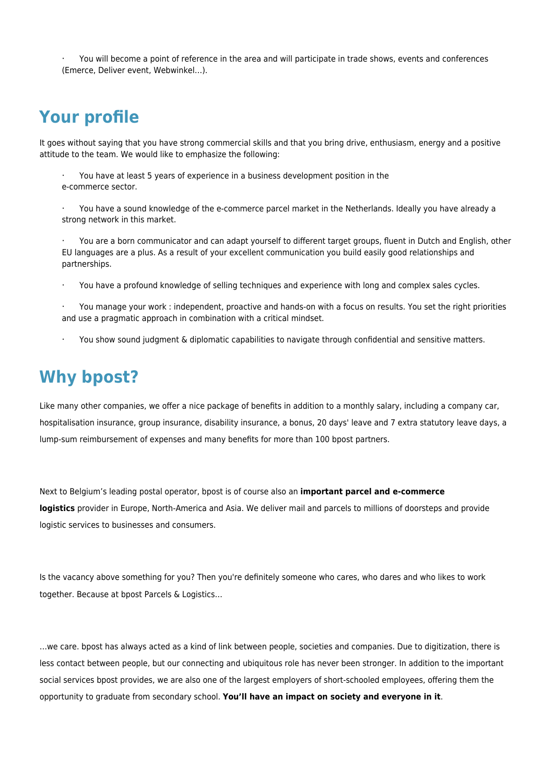· You will become a point of reference in the area and will participate in trade shows, events and conferences (Emerce, Deliver event, Webwinkel…).

## **Your profile**

It goes without saying that you have strong commercial skills and that you bring drive, enthusiasm, energy and a positive attitude to the team. We would like to emphasize the following:

· You have at least 5 years of experience in a business development position in the e-commerce sector.

· You have a sound knowledge of the e-commerce parcel market in the Netherlands. Ideally you have already a strong network in this market.

· You are a born communicator and can adapt yourself to different target groups, fluent in Dutch and English, other EU languages are a plus. As a result of your excellent communication you build easily good relationships and partnerships.

· You have a profound knowledge of selling techniques and experience with long and complex sales cycles.

· You manage your work : independent, proactive and hands-on with a focus on results. You set the right priorities and use a pragmatic approach in combination with a critical mindset.

You show sound judgment & diplomatic capabilities to navigate through confidential and sensitive matters.

## **Why bpost?**

Like many other companies, we offer a nice package of benefits in addition to a monthly salary, including a company car, hospitalisation insurance, group insurance, disability insurance, a bonus, 20 days' leave and 7 extra statutory leave days, a lump-sum reimbursement of expenses and many benefits for more than 100 bpost partners.

Next to Belgium's leading postal operator, bpost is of course also an **important parcel and e-commerce logistics** provider in Europe, North-America and Asia. We deliver mail and parcels to millions of doorsteps and provide logistic services to businesses and consumers.

Is the vacancy above something for you? Then you're definitely someone who cares, who dares and who likes to work together. Because at bpost Parcels & Logistics…

…we care. bpost has always acted as a kind of link between people, societies and companies. Due to digitization, there is less contact between people, but our connecting and ubiquitous role has never been stronger. In addition to the important social services bpost provides, we are also one of the largest employers of short-schooled employees, offering them the opportunity to graduate from secondary school. **You'll have an impact on society and everyone in it**.